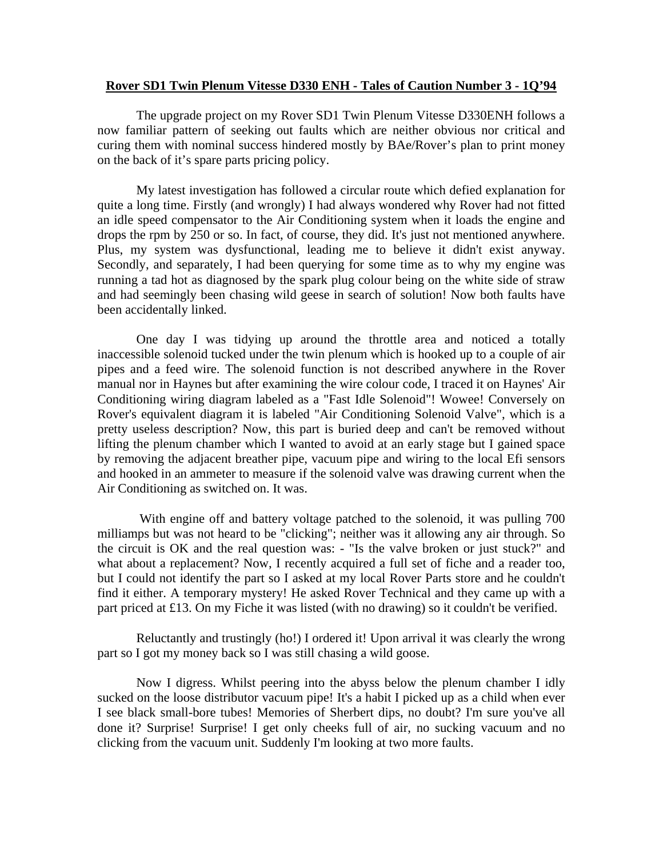## **Rover SD1 Twin Plenum Vitesse D330 ENH - Tales of Caution Number 3 - 1Q'94**

 The upgrade project on my Rover SD1 Twin Plenum Vitesse D330ENH follows a now familiar pattern of seeking out faults which are neither obvious nor critical and curing them with nominal success hindered mostly by BAe/Rover's plan to print money on the back of it's spare parts pricing policy.

 My latest investigation has followed a circular route which defied explanation for quite a long time. Firstly (and wrongly) I had always wondered why Rover had not fitted an idle speed compensator to the Air Conditioning system when it loads the engine and drops the rpm by 250 or so. In fact, of course, they did. It's just not mentioned anywhere. Plus, my system was dysfunctional, leading me to believe it didn't exist anyway. Secondly, and separately, I had been querying for some time as to why my engine was running a tad hot as diagnosed by the spark plug colour being on the white side of straw and had seemingly been chasing wild geese in search of solution! Now both faults have been accidentally linked.

 One day I was tidying up around the throttle area and noticed a totally inaccessible solenoid tucked under the twin plenum which is hooked up to a couple of air pipes and a feed wire. The solenoid function is not described anywhere in the Rover manual nor in Haynes but after examining the wire colour code, I traced it on Haynes' Air Conditioning wiring diagram labeled as a "Fast Idle Solenoid"! Wowee! Conversely on Rover's equivalent diagram it is labeled "Air Conditioning Solenoid Valve", which is a pretty useless description? Now, this part is buried deep and can't be removed without lifting the plenum chamber which I wanted to avoid at an early stage but I gained space by removing the adjacent breather pipe, vacuum pipe and wiring to the local Efi sensors and hooked in an ammeter to measure if the solenoid valve was drawing current when the Air Conditioning as switched on. It was.

 With engine off and battery voltage patched to the solenoid, it was pulling 700 milliamps but was not heard to be "clicking"; neither was it allowing any air through. So the circuit is OK and the real question was: - "Is the valve broken or just stuck?" and what about a replacement? Now, I recently acquired a full set of fiche and a reader too, but I could not identify the part so I asked at my local Rover Parts store and he couldn't find it either. A temporary mystery! He asked Rover Technical and they came up with a part priced at £13. On my Fiche it was listed (with no drawing) so it couldn't be verified.

Reluctantly and trustingly (ho!) I ordered it! Upon arrival it was clearly the wrong part so I got my money back so I was still chasing a wild goose.

 Now I digress. Whilst peering into the abyss below the plenum chamber I idly sucked on the loose distributor vacuum pipe! It's a habit I picked up as a child when ever I see black small-bore tubes! Memories of Sherbert dips, no doubt? I'm sure you've all done it? Surprise! Surprise! I get only cheeks full of air, no sucking vacuum and no clicking from the vacuum unit. Suddenly I'm looking at two more faults.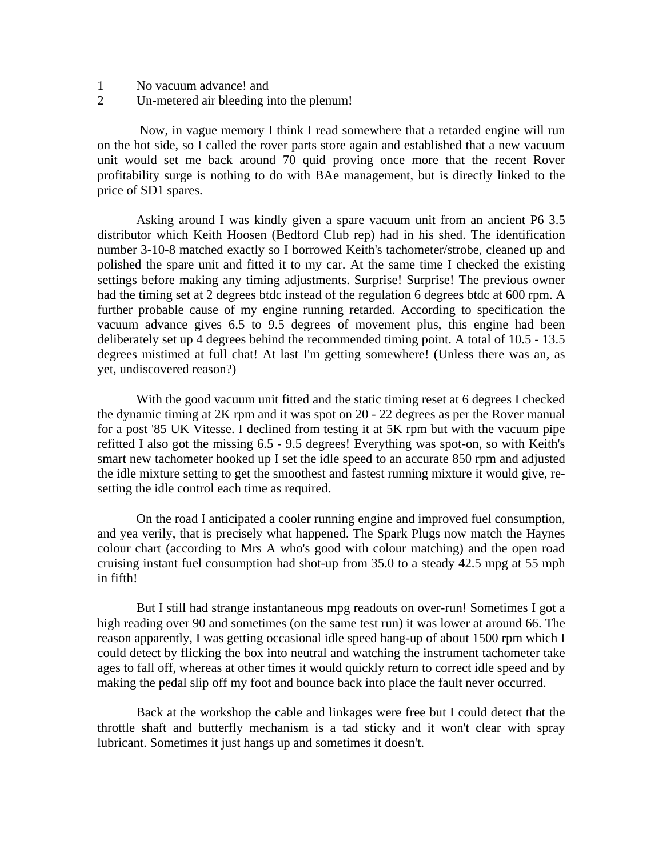- 1 No vacuum advance! and
- 2 Un-metered air bleeding into the plenum!

 Now, in vague memory I think I read somewhere that a retarded engine will run on the hot side, so I called the rover parts store again and established that a new vacuum unit would set me back around 70 quid proving once more that the recent Rover profitability surge is nothing to do with BAe management, but is directly linked to the price of SD1 spares.

 Asking around I was kindly given a spare vacuum unit from an ancient P6 3.5 distributor which Keith Hoosen (Bedford Club rep) had in his shed. The identification number 3-10-8 matched exactly so I borrowed Keith's tachometer/strobe, cleaned up and polished the spare unit and fitted it to my car. At the same time I checked the existing settings before making any timing adjustments. Surprise! Surprise! The previous owner had the timing set at 2 degrees btdc instead of the regulation 6 degrees btdc at 600 rpm. A further probable cause of my engine running retarded. According to specification the vacuum advance gives 6.5 to 9.5 degrees of movement plus, this engine had been deliberately set up 4 degrees behind the recommended timing point. A total of 10.5 - 13.5 degrees mistimed at full chat! At last I'm getting somewhere! (Unless there was an, as yet, undiscovered reason?)

 With the good vacuum unit fitted and the static timing reset at 6 degrees I checked the dynamic timing at 2K rpm and it was spot on 20 - 22 degrees as per the Rover manual for a post '85 UK Vitesse. I declined from testing it at 5K rpm but with the vacuum pipe refitted I also got the missing 6.5 - 9.5 degrees! Everything was spot-on, so with Keith's smart new tachometer hooked up I set the idle speed to an accurate 850 rpm and adjusted the idle mixture setting to get the smoothest and fastest running mixture it would give, resetting the idle control each time as required.

 On the road I anticipated a cooler running engine and improved fuel consumption, and yea verily, that is precisely what happened. The Spark Plugs now match the Haynes colour chart (according to Mrs A who's good with colour matching) and the open road cruising instant fuel consumption had shot-up from 35.0 to a steady 42.5 mpg at 55 mph in fifth!

 But I still had strange instantaneous mpg readouts on over-run! Sometimes I got a high reading over 90 and sometimes (on the same test run) it was lower at around 66. The reason apparently, I was getting occasional idle speed hang-up of about 1500 rpm which I could detect by flicking the box into neutral and watching the instrument tachometer take ages to fall off, whereas at other times it would quickly return to correct idle speed and by making the pedal slip off my foot and bounce back into place the fault never occurred.

Back at the workshop the cable and linkages were free but I could detect that the throttle shaft and butterfly mechanism is a tad sticky and it won't clear with spray lubricant. Sometimes it just hangs up and sometimes it doesn't.